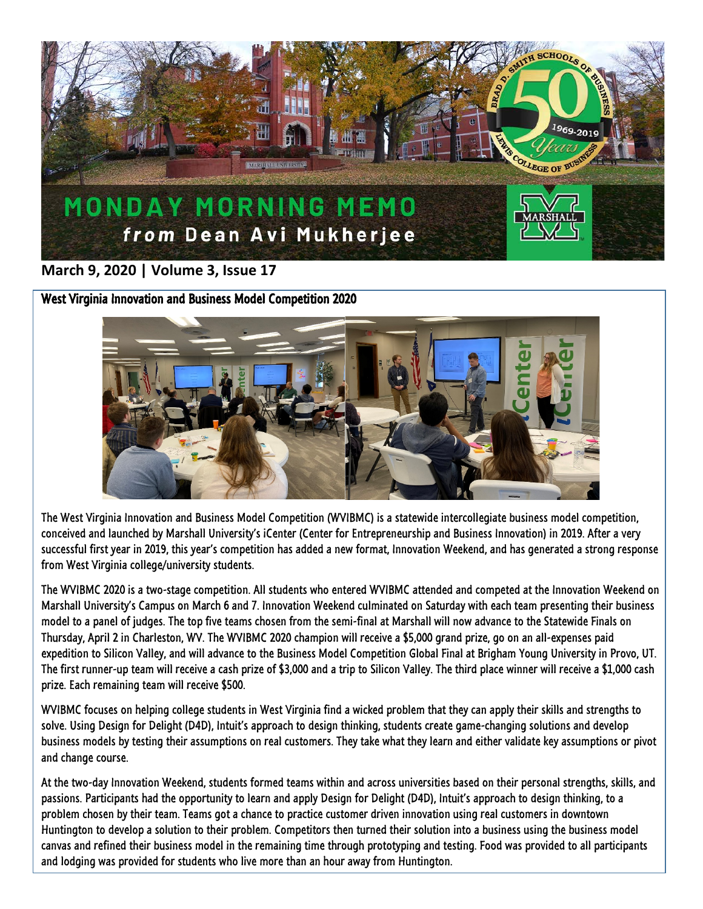

# **March 9, 2020 | Volume 3, Issue 17**

West Virginia Innovation and Business Model Competition 2020



The West Virginia Innovation and Business Model Competition (WVIBMC) is a statewide intercollegiate business model competition, conceived and launched by Marshall University's iCenter (Center for Entrepreneurship and Business Innovation) in 2019. After a very successful first year in 2019, this year's competition has added a new format, Innovation Weekend, and has generated a strong response from West Virginia college/university students.

The WVIBMC 2020 is a two-stage competition. All students who entered WVIBMC attended and competed at the Innovation Weekend on Marshall University's Campus on March 6 and 7. Innovation Weekend culminated on Saturday with each team presenting their business model to a panel of judges. The top five teams chosen from the semi-final at Marshall will now advance to the Statewide Finals on Thursday, April 2 in Charleston, WV. The WVIBMC 2020 champion will receive a \$5,000 grand prize, go on an all-expenses paid expedition to Silicon Valley, and will advance to the Business Model Competition Global Final at Brigham Young University in Provo, UT. The first runner-up team will receive a cash prize of \$3,000 and a trip to Silicon Valley. The third place winner will receive a \$1,000 cash prize. Each remaining team will receive \$500.

WVIBMC focuses on helping college students in West Virginia find a wicked problem that they can apply their skills and strengths to solve. Using Design for Delight (D4D), Intuit's approach to design thinking, students create game-changing solutions and develop business models by testing their assumptions on real customers. They take what they learn and either validate key assumptions or pivot and change course.

At the two-day Innovation Weekend, students formed teams within and across universities based on their personal strengths, skills, and passions. Participants had the opportunity to learn and apply Design for Delight (D4D), Intuit's approach to design thinking, to a problem chosen by their team. Teams got a chance to practice customer driven innovation using real customers in downtown Huntington to develop a solution to their problem. Competitors then turned their solution into a business using the business model canvas and refined their business model in the remaining time through prototyping and testing. Food was provided to all participants and lodging was provided for students who live more than an hour away from Huntington.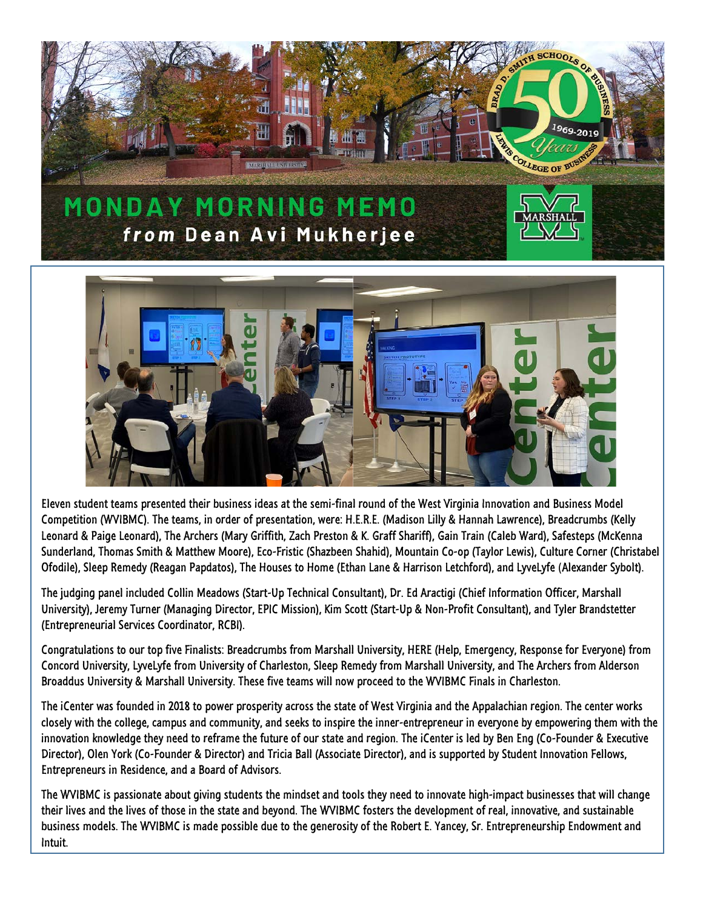



Eleven student teams presented their business ideas at the semi-final round of the West Virginia Innovation and Business Model Competition (WVIBMC). The teams, in order of presentation, were: H.E.R.E. (Madison Lilly & Hannah Lawrence), Breadcrumbs (Kelly Leonard & Paige Leonard), The Archers (Mary Griffith, Zach Preston & K. Graff Shariff), Gain Train (Caleb Ward), Safesteps (McKenna Sunderland, Thomas Smith & Matthew Moore), Eco-Fristic (Shazbeen Shahid), Mountain Co-op (Taylor Lewis), Culture Corner (Christabel Ofodile), Sleep Remedy (Reagan Papdatos), The Houses to Home (Ethan Lane & Harrison Letchford), and LyveLyfe (Alexander Sybolt).

The judging panel included Collin Meadows (Start-Up Technical Consultant), Dr. Ed Aractigi (Chief Information Officer, Marshall University), Jeremy Turner (Managing Director, EPIC Mission), Kim Scott (Start-Up & Non-Profit Consultant), and Tyler Brandstetter (Entrepreneurial Services Coordinator, RCBI).

Congratulations to our top five Finalists: Breadcrumbs from Marshall University, HERE (Help, Emergency, Response for Everyone) from Concord University, LyveLyfe from University of Charleston, Sleep Remedy from Marshall University, and The Archers from Alderson Broaddus University & Marshall University. These five teams will now proceed to the WVIBMC Finals in Charleston.

The iCenter was founded in 2018 to power prosperity across the state of West Virginia and the Appalachian region. The center works closely with the college, campus and community, and seeks to inspire the inner-entrepreneur in everyone by empowering them with the innovation knowledge they need to reframe the future of our state and region. The iCenter is led by Ben Eng (Co-Founder & Executive Director), Olen York (Co-Founder & Director) and Tricia Ball (Associate Director), and is supported by Student Innovation Fellows, Entrepreneurs in Residence, and a Board of Advisors.

The WVIBMC is passionate about giving students the mindset and tools they need to innovate high-impact businesses that will change their lives and the lives of those in the state and beyond. The WVIBMC fosters the development of real, innovative, and sustainable business models. The WVIBMC is made possible due to the generosity of the Robert E. Yancey, Sr. Entrepreneurship Endowment and Intuit.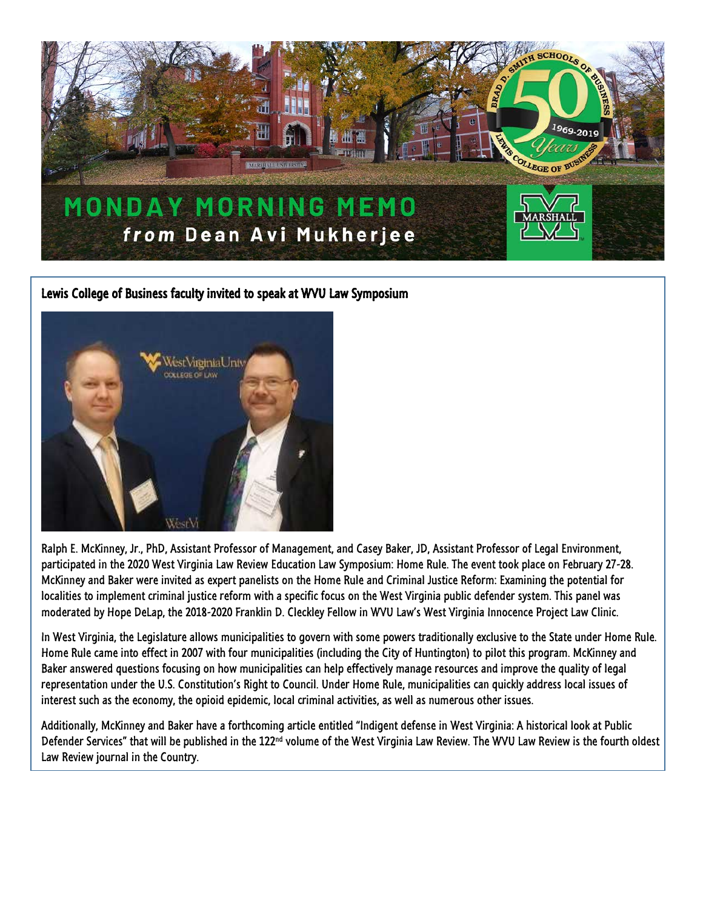

## Lewis College of Business faculty invited to speak at WVU Law Symposium



Ralph E. McKinney, Jr., PhD, Assistant Professor of Management, and Casey Baker, JD, Assistant Professor of Legal Environment, participated in the 2020 West Virginia Law Review Education Law Symposium: Home Rule. The event took place on February 27-28. McKinney and Baker were invited as expert panelists on the Home Rule and Criminal Justice Reform: Examining the potential for localities to implement criminal justice reform with a specific focus on the West Virginia public defender system. This panel was moderated by Hope DeLap, the 2018-2020 Franklin D. Cleckley Fellow in WVU Law's West Virginia Innocence Project Law Clinic.

In West Virginia, the Legislature allows municipalities to govern with some powers traditionally exclusive to the State under Home Rule. Home Rule came into effect in 2007 with four municipalities (including the City of Huntington) to pilot this program. McKinney and Baker answered questions focusing on how municipalities can help effectively manage resources and improve the quality of legal representation under the U.S. Constitution's Right to Council. Under Home Rule, municipalities can quickly address local issues of interest such as the economy, the opioid epidemic, local criminal activities, as well as numerous other issues.

Additionally, McKinney and Baker have a forthcoming article entitled "Indigent defense in West Virginia: A historical look at Public Defender Services" that will be published in the  $122<sup>nd</sup>$  volume of the West Virginia Law Review. The WVU Law Review is the fourth oldest Law Review journal in the Country.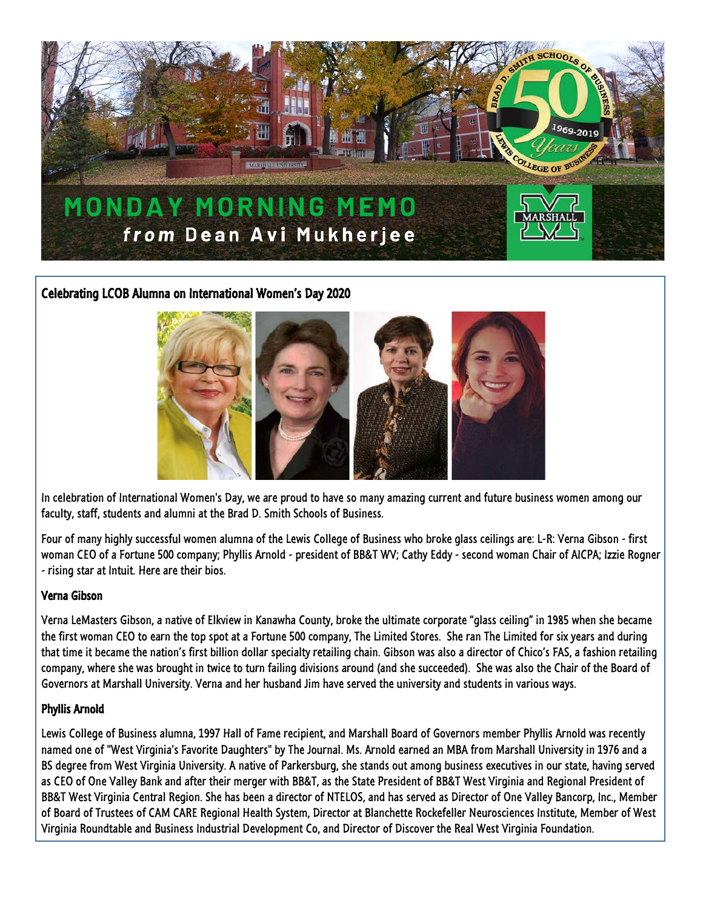

## Celebrating LCOB Alumna on International Women's Day 2020



In celebration of International Women's Day, we are proud to have so many amazing current and future business women among our faculty, staff, students and alumni at the Brad D. Smith Schools of Business.

Four of many highly successful women alumna of the Lewis College of Business who broke glass ceilings are: L-R: Verna Gibson - first woman CEO of a Fortune 500 company; Phyllis Arnold - president of BB&T WV; Cathy Eddy - second woman Chair of AICPA; Izzie Rogner - rising star at Intuit. Here are their bios.

#### Verna Gibson

Verna LeMasters Gibson, a native of Elkview in Kanawha County, broke the ultimate corporate "glass ceiling" in 1985 when she became the first woman CEO to earn the top spot at a Fortune 500 company, The Limited Stores. She ran The Limited for six years and during that time it became the nation's first billion dollar specialty retailing chain. Gibson was also a director of Chico's FAS, a fashion retailing company, where she was brought in twice to turn failing divisions around (and she succeeded). She was also the Chair of the Board of Governors at Marshall University. Verna and her husband Jim have served the university and students in various ways.

### Phyllis Arnold

Lewis College of Business alumna, 1997 Hall of Fame recipient, and Marshall Board of Governors member Phyllis Arnold was recently named one of "West Virginia's Favorite Daughters" by The Journal. Ms. Arnold earned an MBA from Marshall University in 1976 and a BS degree from West Virginia University. A native of Parkersburg, she stands out among business executives in our state, having served as CEO of One Valley Bank and after their merger with BB&T, as the State President of BB&T West Virginia and Regional President of BB&T West Virginia Central Region. She has been a director of NTELOS, and has served as Director of One Valley Bancorp, Inc., Member of Board of Trustees of CAM CARE Regional Health System, Director at Blanchette Rockefeller Neurosciences Institute, Member of West Virginia Roundtable and Business Industrial Development Co, and Director of Discover the Real West Virginia Foundation.